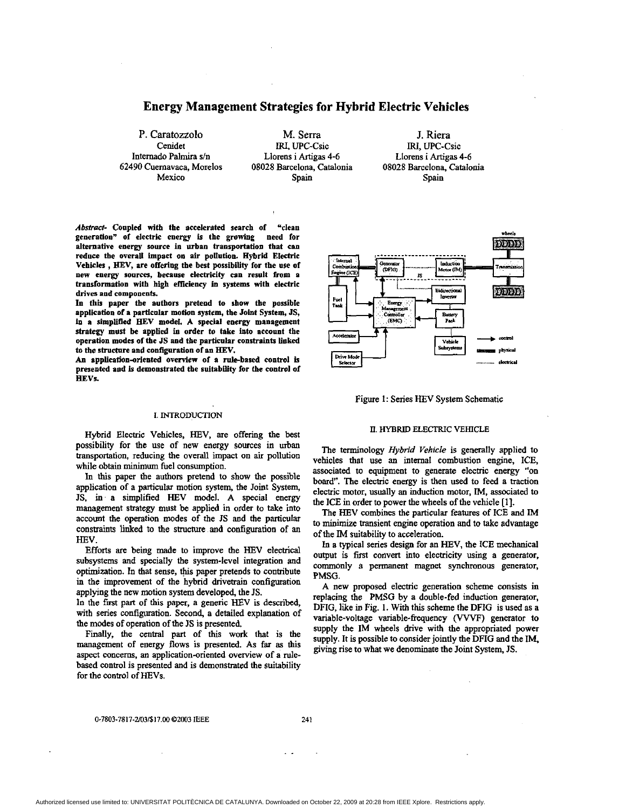# **Energy Management Strategies for Hybrid Electric Vehicles**

Internado Palmira s/n **Liorens i Artigas 4-6**<br>62490 Cuernavaca, Morelos 08028 Barcelona, Catalo

P. Caratozzolo M. Serra J. Riera<br>
Cenidet IRI, UPC-Csic IRI, UPC-C Cenidet IRI, UPC-Csic Internado Palmira s/n<br>
Llorens i Artigas 4-6 Llorens i Artigas 4-8 62490 Cuemavaca, Morelos **08028** Barcelona, Catalonia **08028** Barcelona, Catalonia Mexico Spain Spain Spain Spain

Llorens i Artigas **4-6** 

*Abstracl-* Coupled with the accelerated search of "clean generation" of electric energy is the **growing need** for reduce the overall impact on air pollution. Hybrid Electric Vehicles , HEV, are offering the best possibility for the use of new energy sources, because electricity can result from a transformation with high efficiency in systems with electric drives and components.

In this paper the authors pretend to show tbe possible application **of** a particular motion system, the Jobt System, **JS,**  in a simplified HEV model. A special energy management strategy must be applied in order to take into account the operation **modes** of the **JS** and the particular constraints linked to the structnre and configuration **of an** HEV.

An application-oriented overview of a rule-based control is presented and *Is* demonstrated the suitability for the control of **HEVs.** 

### **1. INTRODUCTION**

Hybrid Electric Vehicles, **HEV,** are offering the best possibility for the use of new energy sources in urban transportation, reducing the overall impact on air pollution while obtain minimum fuel consumption.

In **this** paper the authors pretend to **show** the possible application of a particular motion system, the Joint System, **JS,** in a simplified **HEV** model. A special energy management strategy must be applied in order to take into account the operation modes of the **JS** and the particular constraints linked to the **structure** and configuration of an HEV.

**Efforts are** being made to improve the HEV electrical subsystems and specially the system-level integration and optimization. In that sense, this paper pretends to contribute in the improvement of the hybrid drivetrain configuration applying the new motion system developed, the JS.

In the first part of this paper, a generic HEV is described, with series configuration. Second, a detailed explanation of the **modes** of operation of the **JS** is presented.

Finally, the central part of **this** work that is the management of energy flows is presented. **As** far **as this**  aspect concerns, an application-oriented overview of a mlebased control is presented and is demonstrated the suitability for the **control** of HEVs.



Figure **1:** Series HEV System Schematic

### n. HYBRID **ELECTRIC VEHICLE**

The terminology Hybrid *Vehicle* is generally applied to vehicles that use an internal combustion engine, ICE, associated to equipment to generate electric energy "on **board".** The electric energy is then used **to** feed a traction electric motor, usually an induction **motor, IM,** associated to the ICE in order to power the wheels of the vehicle [I].

The HEV combines the particular features of ICE and IM to minimize transient engine operation and to take advantage of the IM suitability to acceleration.

In **a** typical series design for **an** HEV, the ICE mechanical output is first convert into electricity using a generator, commonly a permanent magnet synchronous generator, PMSG.

A new proposed electric generation scheme consists in replacing the PMSG by a double-fed induction generator, DFIG, like in Fig. 1. With this scheme the DFIG is used as a variable-voltage variable-frequency (VVVF) generator to supply the IM wheels drive with the appropriated power supply. It is possible to consider jointly the DFIG and the IM, giving rise to what we denominate the Joint System, **JS.**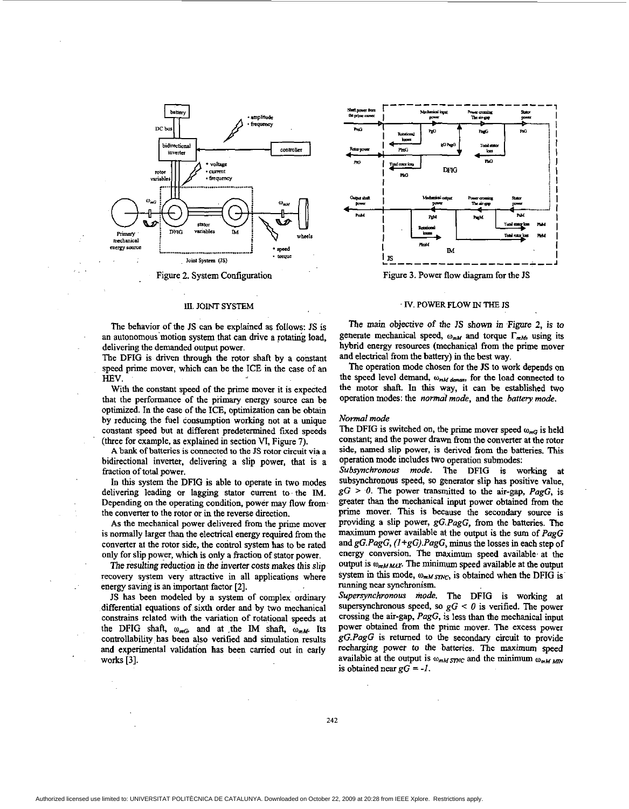

Figure 2. System Configuration

#### **III. JOINT SYSTEM**

The behavior of the JS can be explained as follows: JS is an autonomous motion system that can drive a rotating load. delivering the demanded output power.

The DFIG is driven through the rotor shaft by a constant speed prime mover, which can be the ICE in the case of an **HRV** 

With the constant speed of the prime mover it is expected that the performance of the primary energy source can be optimized. In the case of the ICE, optimization can be obtain by reducing the fuel consumption working not at a unique constant speed but at different predetermined fixed speeds (three for example, as explained in section VI, Figure 7).

A bank of batteries is connected to the JS rotor circuit via a bidirectional inverter, delivering a slip power, that is a fraction of total power.

In this system the DFIG is able to operate in two modes delivering leading or lagging stator current to the IM. Depending on the operating condition, power may flow from the converter to the rotor or in the reverse direction.

As the mechanical power delivered from the prime mover is normally larger than the electrical energy required from the converter at the rotor side, the control system has to be rated only for slip power, which is only a fraction of stator power.

The resulting reduction in the inverter costs makes this slip recovery system very attractive in all applications where energy saving is an important factor [2].

JS has been modeled by a system of complex ordinary differential equations of sixth order and by two mechanical constrains related with the variation of rotational speeds at the DFIG shaft,  $\omega_{mG}$  and at the IM shaft,  $\omega_{mM}$ . Its controllability has been also verified and simulation results and experimental validation has been carried out in early works  $[3]$ .



Figure 3. Power flow diagram for the JS

#### IV. POWER FLOW IN THE JS

The main objective of the JS shown in Figure 2, is to generate mechanical speed,  $\omega_{mM}$  and torque  $\Gamma_{mM}$ , using its hybrid energy resources (mechanical from the prime mover and electrical from the battery) in the best way.

The operation mode chosen for the JS to work depends on the speed level demand,  $\omega_{mM\,demam}$ , for the load connected to the motor shaft. In this way, it can be established two operation modes: the normal mode, and the battery mode.

#### Normal mode

The DFIG is switched on, the prime mover speed  $\omega_{mG}$  is held constant; and the power drawn from the converter at the rotor side, named slip power, is derived from the batteries. This operation mode includes two operation submodes:

Subsynchronous mode. The DFIG is working at subsynchronous speed, so generator slip has positive value,  $gG > 0$ . The power transmitted to the air-gap, PagG, is greater than the mechanical input power obtained from the prime mover. This is because the secondary source is providing a slip power, gG.PagG, from the batteries. The maximum power available at the output is the sum of PagG and  $gG.PagG$ ,  $(1+gG). PagG$ , minus the losses in each step of energy conversion. The maximum speed available at the output is  $\omega_{mMMAX}$ . The minimum speed available at the output system in this mode,  $\omega_{mM, SNC}$ , is obtained when the DFIG is running near synchronism.

Supersynchronous mode. The DFIG is working at supersynchronous speed, so  $gG \leq 0$  is verified. The power crossing the air-gap, PagG, is less than the mechanical input power obtained from the prime mover. The excess power gG.PagG is returned to the secondary circuit to provide recharging power to the batteries. The maximum speed available at the output is  $\omega_{mM,STNC}$  and the minimum  $\omega_{mM,MN}$ is obtained near  $gG = -1$ .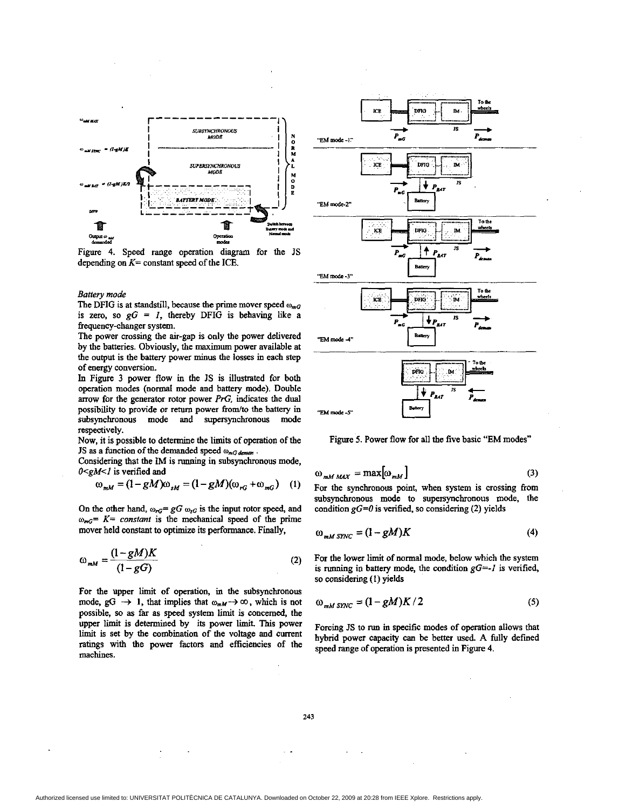

Figure **4.** Speed range operation diagram for the JS depending **on** *K=* constant speed of the ICE.

### *Battery mode*

The DFIG is at standstill, because the prime mover speed  $\omega_{mg}$ is zero, so  $gG = I$ , thereby DFIG is behaving like a frequency-changer system.

The power crossing the air-gap is only the power delivered by the batteries. Obviously, the maximum power available at the output is the battery power **minus** the losses in each *step*  of *energy* conversion.

**In** Figure 3 power flow in the JS is illustrated for both operation modes (normal mode and battery mode). Double arrow for the generator rotor power *PrG*, indicates the dual possibility to provide or return power from/to the battery in subsynchronous mode and supersynchronous mode respectively.

Now, it is possible to determine the limits of operation of the JS as a function of the demanded speed  $\omega_{mG\, demam}$ .

Considering that the IM is running in subsynchronous mode, *O<gM<I* is verified and

$$
\omega_{mM} = (1 - gM)\omega_{sM} = (1 - gM)(\omega_{rG} + \omega_{mG}) \quad (1)
$$

On the other hand,  $\omega_{rG} = gG \omega_{sG}$  is the input rotor speed, and  $\omega_{m} = K = constant$  is the mechanical speed of the prime mover held constant to optimize its performance. Finally,

$$
\omega_{mM} = \frac{(1 - gM)K}{(1 - gG)}\tag{2}
$$

For the upper limit of operation, in the subsynchronous mode,  $gG \rightarrow 1$ , that implies that  $\omega_{mM} \rightarrow \infty$ , which is not possible, **so as** far as speed system limit is concerned, the upper limit is determined by its power limit. This power limit is set by the combination of the voltage and current ratings with the power factors and efficiencies of the machines.



Figure *5.* Power flow for all **the** five basic "EM modes"

$$
\omega_{mM \, MAX} = \max[\omega_{mM}] \tag{3}
$$

For the synchronous point, when **system** is crossing fiom subsynchronous mode to supersynchronous mode, the condition *gG=O* is verified, **so** considering (2) yields

$$
\omega_{mM \, \text{SYNC}} = (1 - gM)K \tag{4}
$$

For the lower limit of normal mode, below which the system is nmning in battery mode, the condition *gG=-1* is verified, *so* considering **(I)** yields

$$
\omega_{mM \, SNC} = (1 - gM)K/2 \tag{5}
$$

Forcing JS to run **in** specific modes of opemtion allows that hybrid power capacity can be better used. A fully defined speed range of operation is presented in Figure **4.** 

**243**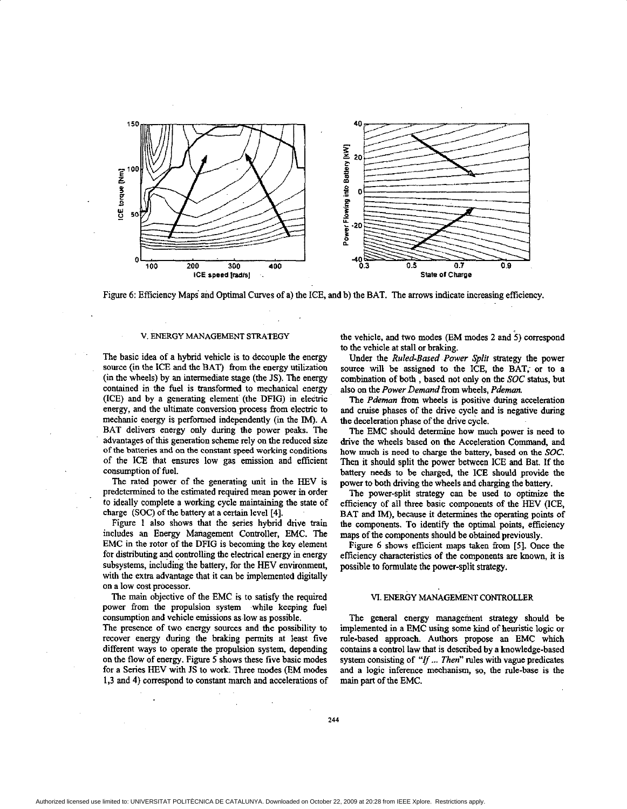

Figure 6: Efficiency Maps and Optimal Curves of a) the ICE, and b) the BAT. The arrows indicate increasing efficiency.

#### **V. ENERGY MANAGEMENT STRATEGY**

The basic idea of a hybrid vehicle is to decouple the energy source (in the ICE and the BAT) from the energy utilization (in the wheels) by an intermediate stage (the IS). The energy contained in the fuel is transformed to mechanical energy (ICE) and by a generating element (the **DFIG)** in electric energy, and the ultimate conversion process from electric to mechanic energy is performed independently (in the IM). A BAT delivers energy only during the power peaks. The advantages of **this** generation scheme rely **on** the reduced **size of** the batteries and on the **constant** speed working conditions of the ICE that **ensures** low gas emission and efficient consumption of fuel.

The rated power of the generating unit in the HEV is predetermined to the estimated required mean power in order to ideally complete a working cycle maintaining the state of charge (SOC) **of** the battery at a certain level **[4].** 

Figure 1 also shows that the series hybrid drive train includes an Energy Management Controller, EMC. The EMC in the rotor of the **DFIG** is becoming the key element for distributing and controlling the electrical energy in energy subsystems, including the battery, for the HEV environment, with the extra advantage that it *can* be implemented digitally **on** a low cost processor.

The main objective of the EMC is to satisfy the required power from the propulsion system while keeping fuel consumption and vehicle emissions as-low as possible.

The presence of two energy sources and the possibility to recover energy during the braking permits at least five different ways to operate the propulsion system, depending on the flow of energy. Figure *5* shows these five hasic modes for a Series HEV with JS to work. Three modes (EM modes **1.3** and **4)** correspond to constant march and accelerations of the vehicle, and two modes (EM modes 2 and 5) correspond to the vehicle at stall or braking.

Under the *Ruled-Based Power Split* strategy the power **source** will be **assigned** to the ICE, the BAT, or to a combmation of both , based not only on the *SOC* status, but also on the *Power Demand* **from** wheels, *Pdemon.* 

The *Pdeman* from wheels is positive during acceleration and cruise phases of the drive cycle and is negative during the deceleration phase of the drive cycle.

The EMC should determine how much power is need to drive the wheels based **on** the Acceleration Command, and how much is need **to** charge the battery, based on the SOC. Then it should split the power between ICE and Bat. If the battery needs to be charged, the **ICE** should provide the power to both driving the wheels and charging the battery.

The power-split strategy can he used to optimize the efficiency of all three basic components of the **HEV** *(ICE,*  BAT and IM), because it determines the operating points of the components. To identify the optimal points, efficiency maps of the components should be obtained previously.

Figure 6 shows efficient maps taken from [5]. Once the efficiency characteristics of the components **are known,** it is possible **to** formulate the power-split strategy.

## VI. ENERGY MANAGEMENT **CONTROLLER**

The general energy management strategy should be implemented in a EMC using some kind of heuristic logic or rule-based approach. Authors propose an EMC which contains a control law that is described by a knowledge-based system consisting of "*If ... Then*" rules with vague predicates and a logic inference mechanism, **so,** the rule-base is the **main** part of the EMC.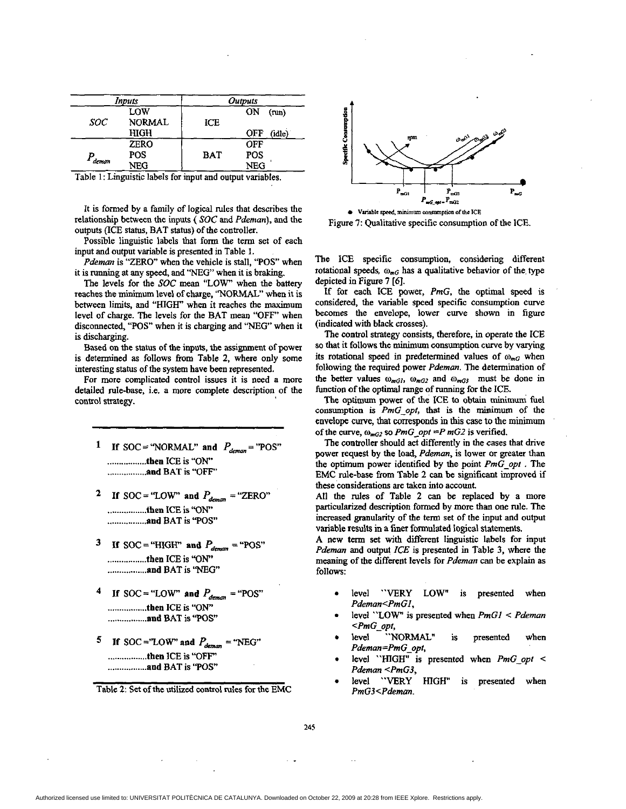<span id="page-4-0"></span>

| Inputs |               | Outputs    |                      |
|--------|---------------|------------|----------------------|
|        | LOW           |            | ON<br>(nu)           |
| SOC.   | <b>NORMAL</b> | ICE        |                      |
|        | HIGH          |            | <b>OFF</b><br>(idle) |
|        | <b>ZERO</b>   |            | OFF                  |
|        | POS           | <b>BAT</b> | <b>POS</b>           |
| deman  | NEG           |            | <b>NEG</b>           |

Table 1: Linguistic labels for input and output variables.

It is formed by **a** family of logical rules that describes the relationship **between** the inputs ( **SOC** and *Pdeman),* and the **outputs** (ICE status, BAT status) of the controller.

Possible linguistic labels that form the term set of each input and output variable is presented in Table **1.** 

*Pdeman* is "ZERO" when the vehicle is stall, "POS" when it is running at any speed, and "NEG" when it is braking.

**The** levels for the **SOC** mean "LOW' when the battery reaches the minimum level of charge. "NORMAL" when it is between **limits,** and "HIGH" when it reaches the maximum level of charge. The levels for the BAT mean "OFF' when disconnected, "POS" when it is charging and *"NEG"* when it is discharging.

Based on the **status** of the inputs, **the** assignment of power is determined **as** follows from Table 2, where only some interesting status of the system have **been** represented.

For more complicated control issues it is need a more detailed rule-base, i.e. a more complete description of the control strategy.

- If SOC = "NORMAL" and  $P_{deman}$  = "POS" 1 ................. then ICE is "ON" ................. and BAT is "OFF"
- <sup>2</sup> If SOC = "LOW" and  $P_{demam}$  = "ZERO" ................. **then** ICE **is** "ON" ................. **and** BAT is **'TOS"**
- **3** If SOC = "HIGH" and  $P_{demain}$  = "POS" ................. then ICE is "ON" ................. **and** BAT is 'W
- If SOC = "LOW" and  $P_{demon}$  = "POS" ................. then ICE is "ON" ................. **and** BAT is *"F'OS'*
- **If** SOC="LOW" and  $P_{deman}$  = "NEG" ................. then ICE is **"OFF"** ................. **and** BAT is **"F'OS"**

Table 2: Set of the utilized control rules for the EMC



Figure 7: Qualitative specific consumption of the ICE.

The ICE specific consumption, considering different rotational speeds,  $\omega_{m}$  has a qualitative behavior of the type depicted in Figure **7** *[6].* 

If for each ICE power, *PmG,* the optimal speed is considered, the variable speed specific consumption curve becomes the envelope, lower curve shown in figure (indicated with black **crosses).** 

The control strategy consists, therefore, in operate the ICE so that it follows the minimum consumption curve by varying its rotational speed in predetermined values of  $\omega_{m}$  when following the required power Pdeman. **The** determination of the better values  $\omega_{mG1}$ ,  $\omega_{mG2}$  and  $\omega_{mG3}$  must be done in function of the optimal range of running for the ICE.

**The** optimum power of the ICE to obtain **minimum** fuel consumption is *PmG\_opt*, that is the minimum of the envelope curve, that corresponds in this case to the minimum of the curve,  $\omega_{mG2}$  so *PmG\_opt =P mG2* is verified.

The controller should *act* differently in the cases that drive power request by the load, *Pdeman,* is lower or greater than the optimum power identified by the point *PmG-opt* . **The**  EMC de-base from **Table** 2 can be significant improved if these considerations **are** taken into account.

All the rules of Table 2 can be replaced by a more particularized description formed by more than one rule. **The increased granularity** of the term set of tbe input and **output**  variable results in a **finer** formulated logical **statements.** 

A new **term** set with different linguistic labels for input Pdeman and output ICE is presented **in** Table 3, where the meaning of the different levels for Pdeman can be explain as foIlows:

- level "VERY LOW" is presented when *Pdeman<PmGI,*
- level **"LOW"** is presented when *PmGI* < *Pdeman <PmG-opf,*
- level "NORMAL" is presented when Pdeman=PmG\_opt,
- level "HIGH' is presented when *PmG-opt c*  Pdeman <PmG3,
- level "VERY HIGH" is presented when *PmGJ<Pdeman.*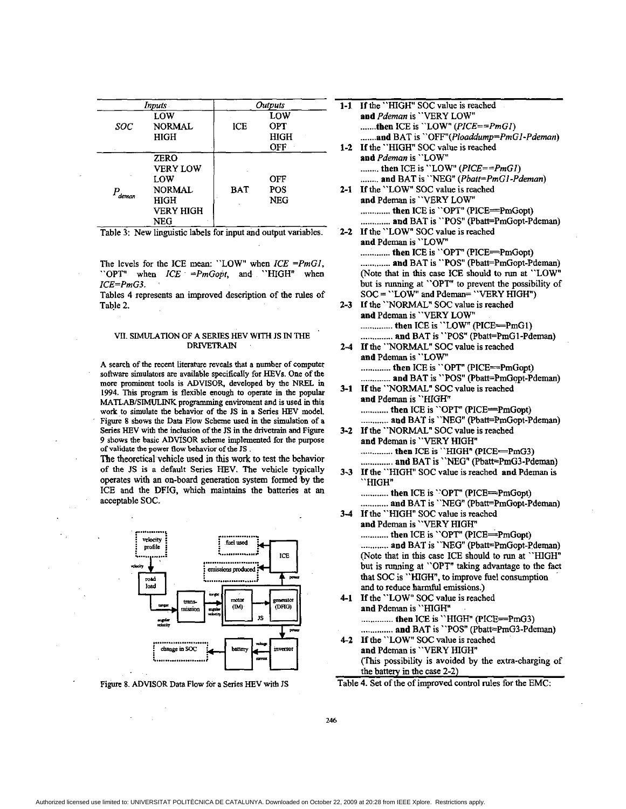| Inputs . |                                                                                           | Outputs    |                                      |  |
|----------|-------------------------------------------------------------------------------------------|------------|--------------------------------------|--|
| SOC      | LOW<br><b>NORMAL</b><br>HIGH                                                              | ICE        | LOW<br><b>OPT</b><br>HIGH<br>$OFF -$ |  |
| deman    | <b>ZERO</b><br><b>VERY LOW</b><br>LOW<br><b>NORMAL</b><br>HIGH<br><b>VERY HIGH</b><br>NFG | <b>BAT</b> | OFF<br>POS<br>NEG                    |  |

Table 3: New linguistic labels for input and output variables.

The levels for the ICE mean: "LOW" when  $ICE = PmGI$ , "OPT" when  $ICE = PmGopt$ , and "HIGH" when  $ICE = PmG3$ .

Tables 4 represents an improved description of the rules of Table 2.

### VII. SIMULATION OF A SERIES HEV WITH JS IN THE **DRIVETRAIN**

A search of the recent literature reveals that a number of computer software simulators are available specifically for HEVs. One of the more prominent tools is ADVISOR, developed by the NREL in 1994. This program is flexible enough to operate in the popular MATLAB/SIMULINK programming enviroment and is used in this work to simulate the behavior of the JS in a Series HEV model. Figure 8 shows the Data Flow Scheme used in the simulation of a Series HEV with the inclusion of the JS in the drivetrain and Figure 9 shows the basic ADVISOR scheme implemented for the purpose of validate the power flow behavior of the JS.

The theoretical vehicle used in this work to test the behavior of the JS is a default Series HEV. The vehicle typically operates with an on-board generation system formed by the ICE and the DFIG, which maintains the batteries at an acceptable SOC.



Figure 8. ADVISOR Data Flow for a Series HEV with JS

| 1-T     | If the HIGH" SOC value is reached                                                             |
|---------|-----------------------------------------------------------------------------------------------|
|         | and Pdeman is "VERY LOW"                                                                      |
|         | then ICE is "LOW" ( $\textit{PICE} = \textit{PmGI}$ )                                         |
|         | and BAT is "OFF"(Ploaddump=PmG1-Pdeman)                                                       |
|         | 1-2 If the "HIGH" SOC value is reached                                                        |
|         | and Pdeman is "LOW"                                                                           |
|         | then ICE is "LOW" ( $\textit{PICE} = \textit{PmGI}$ )                                         |
|         | and BAT is "NEG" (Pbatt=PmG1-Pdeman)                                                          |
| $2 - 1$ | If the "LOW" SOC value is reached                                                             |
|         | and Pdeman is "VERY LOW"                                                                      |
|         | then ICE is "OPT" (PICE=PmGopt)                                                               |
|         | and BAT is "POS" (Pbatt=PmGopt-Pdeman)                                                        |
| $2 - 2$ | If the "LOW" SOC value is reached                                                             |
|         | and Pdeman is "LOW"                                                                           |
|         | then ICE is "OPT" (PICE=PmGopt)                                                               |
|         | and BAT is "POS" (Pbatt=PmGopt-Pdeman)                                                        |
|         | (Note that in this case ICE should to run at "LOW"                                            |
|         |                                                                                               |
|         | but is running at "OPT" to prevent the possibility of<br>SOC = "LOW" and Pdeman= "VERY HIGH") |
|         |                                                                                               |
| $2 - 3$ | If the "NORMAL" SOC value is reached                                                          |
|         | and Pdeman is "VERY LOW"                                                                      |
|         | then ICE is "LOW" (PICE=PmG1)                                                                 |
|         | and BAT is "POS" (Pbatt=PmG1-Pdeman)                                                          |
| $2 - 4$ | If the ''NORMAL" SOC value is reached                                                         |
|         | and Pdeman is "LOW"                                                                           |
|         | then ICE is "OPT" (PICE==PmGopt)                                                              |
|         | and BAT is "POS" (Pbatt=PmGopt-Pdeman)                                                        |
| $3 - 1$ | If the 'NORMAL" SOC value is reached                                                          |
|         | and Pdeman is "HIGH"                                                                          |
|         | then ICE is "OPT" (PICE=PmGopt)                                                               |
|         | and BAT is "NEG" (Pbatt=PmGopt-Pdeman)                                                        |
| $3-2$   | If the "NORMAL" SOC value is reached                                                          |
|         | and Pdeman is "VERY HIGH"                                                                     |
|         | then ICE is ''HIGH'' (PICE=PmG3)                                                              |
|         | and BAT is ''NEG" (Pbatt=PmG3-Pdeman)                                                         |
| $3 - 3$ | If the "HIGH" SOC value is reached and Pdeman is                                              |
|         | "HIGH"                                                                                        |
|         | then ICE is "OPT" (PICE==PmGopt)                                                              |
|         | and BAT is "NEG" (Pbatt=PmGopt-Pdeman)                                                        |
| $3 - 4$ | If the "HIGH" SOC value is reached                                                            |
|         | and Pdeman is "VERY HIGH"                                                                     |
|         | then ICE is "OPT" (PICE=PmGopt)                                                               |
|         | and BAT is "NEG" (Pbatt=PmGopt-Pdeman)                                                        |
|         | (Note that in this case ICE should to run at "HIGH"                                           |
|         | but is running at "OPT" taking advantage to the fact                                          |
|         | that SOC is "HIGH", to improve fuel consumption                                               |
|         | and to reduce harmful emissions.)                                                             |
| 4-1     | If the "LOW" SOC value is reached                                                             |
|         | and Pdeman is "HIGH"                                                                          |
|         | then ICE is "HIGH" (PICE=PmG3)                                                                |
|         | and BAT is ''POS" (Pbatt=PmG3-Pdeman)                                                         |
| 4-2     | If the "LOW" SOC value is reached                                                             |
|         | and Pdeman is "VERY HIGH"                                                                     |
|         |                                                                                               |

(This possibility is avoided by the extra-charging of the battery in the case 2-2)

Table 4. Set of the of improved control rules for the EMC: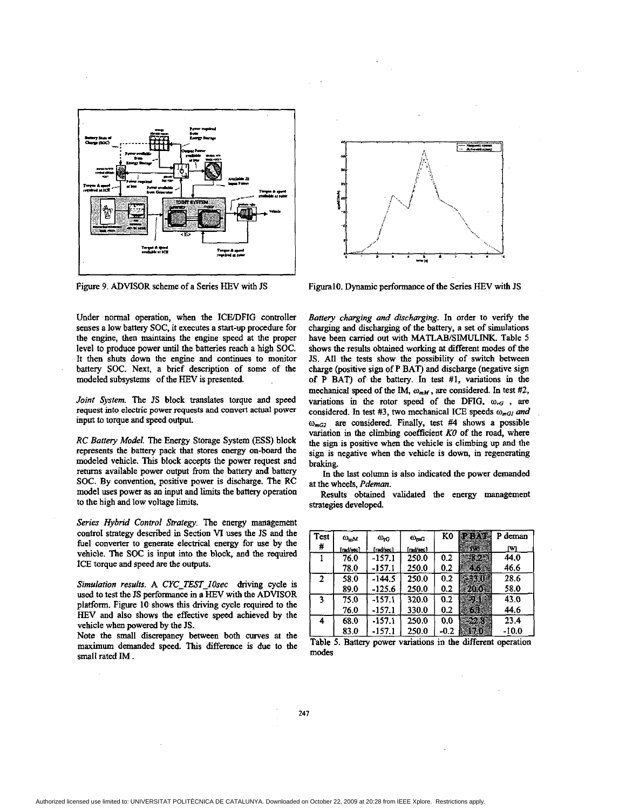<span id="page-6-0"></span>

Figure 9. ADVISOR scheme of a Series HEV with **JS** 

Under normal operation, when the ICE/DFIG controller senses a low battery SOC. it executes a start-up procedure for the engine, then **maintains** the engine speed at the proper level to produce power until the batteries reach a high SOC. It then shuts **down** the engine and continues to monitor battery SOC. Next, a brief description of some of the modeled subsystems of the **HEV** is presented.

*Joinf Swfem.* The *JS* block translates torque and speed request into electric power requests and convert **actual** power input to torque and speed output.

*RC Banery Model.* The Energy Storage System **(ESS)** block represents the battery pack that stores energy on-board the modeled vehicle. **This** block accepts the power request and returns available power output from the battery and battery SOC. **By** convention, positive power is discharge. The RC model uses power as an input and limits the battery operation to the higb and low voltage **limits.** 

*Series Hybrid Control Strafegy.* The energy management control strategy described in Section VI uses the **JS** and the fuel converter **to** generate electrical energy for use by the vehicle. The SOC is input into the block, and the *required*  **ICE** torque and speed **are** the outputs.

*Simulafion results.* **A** *CYC-TEST-IOsec* driving cycle is used to test the **JS** performance in a **HEV** with the **ADVISOR**  platform. Figure **10** shows **this** driving cycle required to the **HEV** and also shows the effective **sped** achieved by the vehicle when powered by **the IS.** 

Note the small discrepancy between both curves at the maximum demanded speed. **This** difference is due to the small rated **IM** .



FiguralO. Dynamic performance of the Series HEV with IS

*Banery charging and* discharging. In order to verify the charging and discharging of the battery, **a** set of simulations have **been** carried out with **MATLAB/SIMULINK.** Table *5*  shows the results obtained working at different modes **of** the **JS. All** the tests show the possibility **of** switch between charge (positive sign of P **BAT)** and discharge (negative sign of P **BAT) of** the battery. In test **#I,** variations in the mechanical speed of the IM,  $\omega_{mM}$ , are considered. In test #2, variations in the rotor speed of the DFIG,  $\omega_{rG}$ , are considered. In test #3, two mechanical ICE speeds  $\omega_{mG}$  and **wmG2 are** considered. Finally, test #4 shows a possible variation in the climbing coefficient *KO* of the road, where the sign is positive when the vehicle is climbing up and the sign is negative when the vehicle is down, in regenerating braking.

In the last column is also indicated the power demanded at the wheels. *Pdeman.* 

Results obtained validated the energy management strategies developed.

| <b>Test</b><br># | $\omega_{\rm mM}$<br>[md/sec] | $\omega_{\rm rG}$<br>frad/sec l | $\omega_{\rm mG}$<br>rad/sec1 | K0     | 623.00<br>S. A | P deman<br>rм |
|------------------|-------------------------------|---------------------------------|-------------------------------|--------|----------------|---------------|
|                  | 76.0                          | $-157.1$                        | 250.0                         | 0.2    | - 72           | 44.0          |
|                  | 78.0                          | $-157.1$                        | 250.0                         | 0.2    | EK.            | 46.6          |
| 2                | 58.0                          | $-144.5$                        | 250.0                         | 0.2    | 33.0           | 28.6          |
|                  | 89.0                          | -125.6                          | 250.0                         | 0.2    | 200            | 58.0          |
| 3                | 75.0                          | -157.1                          | 320.0                         | 0.2    | 95             | 43.0          |
|                  | 76.0                          | $-157.1$                        | 330.0                         | 0.2    | G.             | 44.6          |
| 4                | 68.0                          | -157.1                          | 250.0                         | 0.0    | بمناقص         | 23.4          |
|                  | 83.0                          | -157.1                          | 250.0                         | $-0.2$ | 1530           | -10.0         |

Table 5. Battery power variations in the different operation modes